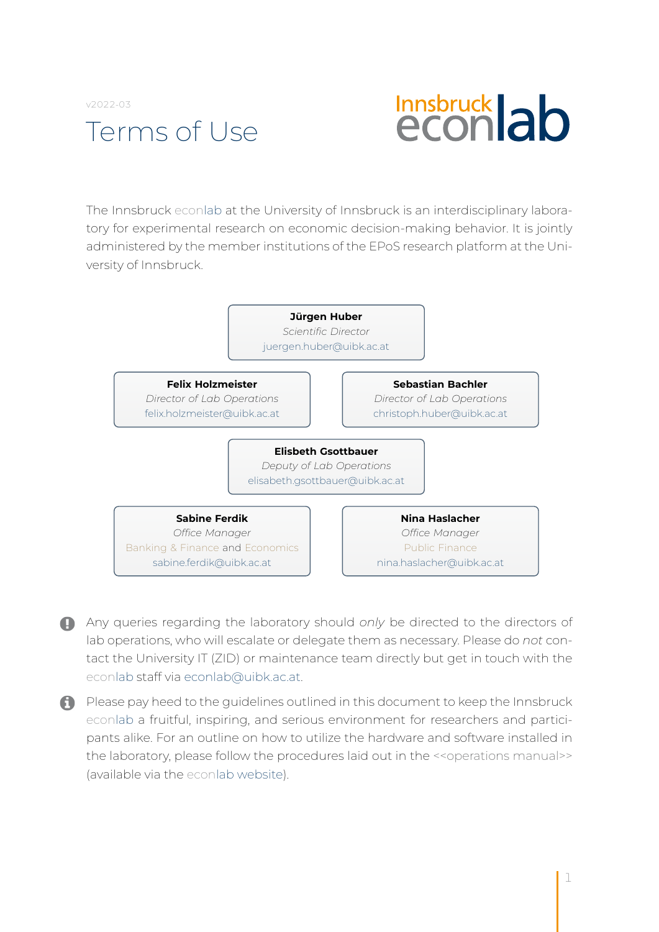

# **Innsbruck ab**

The Innsbruck econlab at the University of Innsbruck is an interdisciplinary laboratory for experimental research on economic decision-making behavior. It is jointly administered by the member institutions of the EPoS research platform at the University of Innsbruck.



Any queries regarding the laboratory should *only* be directed to the directors of lab operations, who will escalate or delegate them as necessary. Please do *not* contact the University IT (ZID) or maintenance team directly but get in touch with the econlab staff via [econlab@uibk.ac.at.](mailto:econlab@uibk.ac.at)

**A** Please pay heed to the guidelines outlined in this document to keep the Innsbruck econlab a fruitful, inspiring, and serious environment for researchers and participants alike. For an outline on how to utilize the hardware and software installed in the laboratory, please follow the procedures laid out in the <<operations manual>> (available via the [econlab](https://www.uibk.ac.at/fakultaeten/volkswirtschaft_und_statistik/forschung/econlab/index.html.en) website).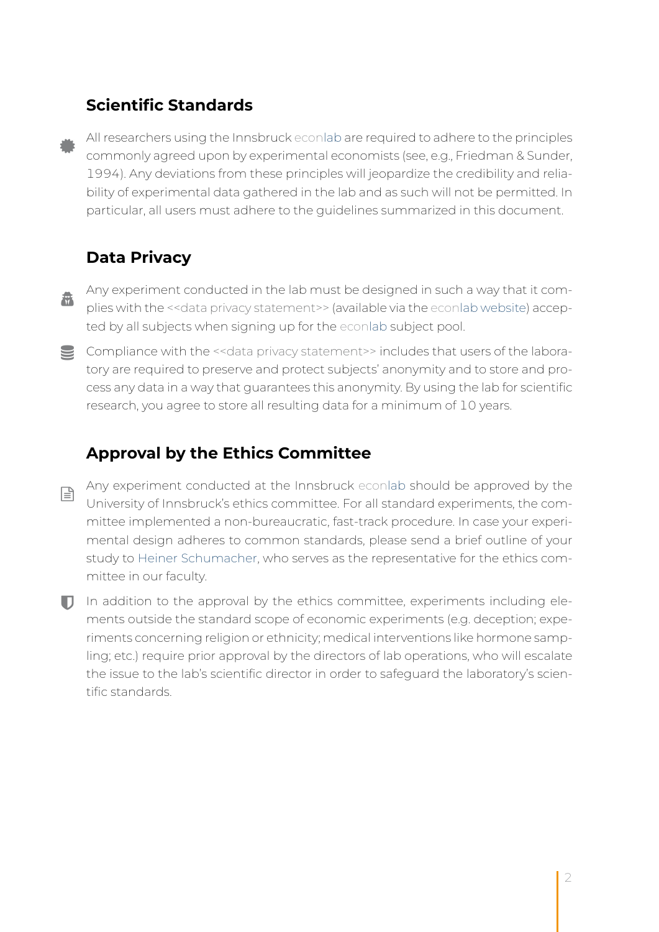## **Scientific Standards**

All researchers using the Innsbruck econlab are required to adhere to the principles commonly agreed upon by experimental economists (see, e.g., Friedman & Sunder, 1994). Any deviations from these principles will jeopardize the credibility and reliability of experimental data gathered in the lab and as such will not be permitted. In particular, all users must adhere to the guidelines summarized in this document.

# **Data Privacy**

- Any experiment conducted in the lab must be designed in such a way that it com-盘 plies with the << data privacy statement>> (available via the econlab [website\)](https://www.uibk.ac.at/fakultaeten/volkswirtschaft_und_statistik/forschung/econlab/index.html.en) accepted by all subjects when signing up for the econlab subject pool.
- S Compliance with the << data privacy statement>> includes that users of the laboratory are required to preserve and protect subjects' anonymity and to store and process any data in a way that guarantees this anonymity. By using the lab for scientific research, you agree to store all resulting data for a minimum of 10 years.

### **Approval by the Ethics Committee**

- Any experiment conducted at the Innsbruck econlab should be approved by the  $\mathbb{R}$ University of Innsbruck's ethics committee. For all standard experiments, the committee implemented a non-bureaucratic, fast-track procedure. In case your experimental design adheres to common standards, please send a brief outline of your study to [Heiner Schumacher,](mailto:heiner.schumacher@uibk.ac.at) who serves as the representative for the ethics committee in our faculty.
- $\Box$  In addition to the approval by the ethics committee, experiments including elements outside the standard scope of economic experiments (e.g. deception; experiments concerning religion or ethnicity; medical interventions like hormone sampling; etc.) require prior approval by the directors of lab operations, who will escalate the issue to the lab's scientific director in order to safeguard the laboratory's scientific standards.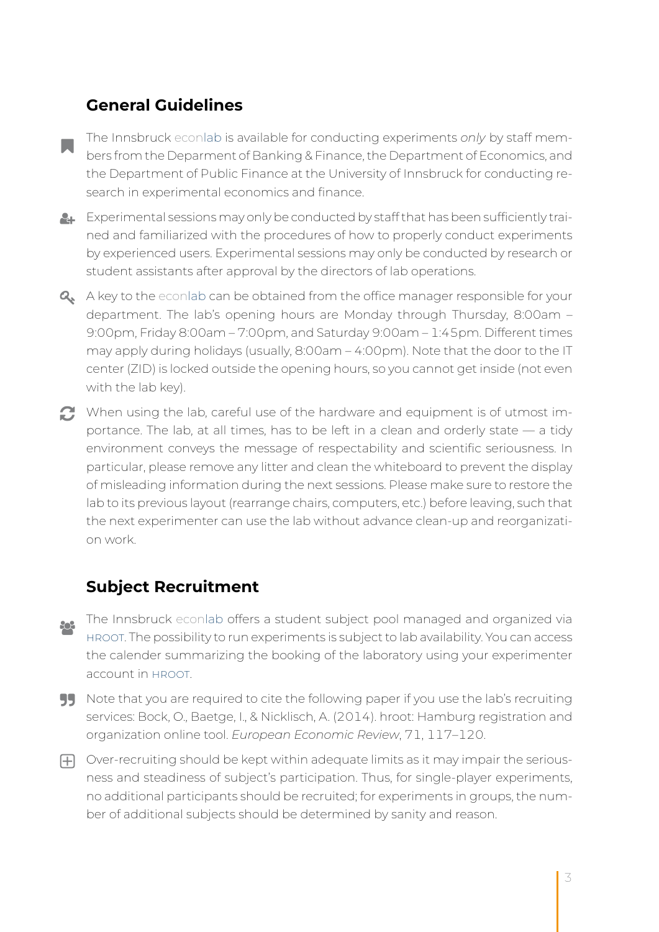## **General Guidelines**

- The Innsbruck econlab is available for conducting experiments *only* by staff mem-**College** bers from the Deparment of Banking & Finance, the Department of Economics, and the Department of Public Finance at the University of Innsbruck for conducting research in experimental economics and finance.
- $\blacktriangleright$  Experimental sessions may only be conducted by staff that has been sufficiently trained and familiarized with the procedures of how to properly conduct experiments by experienced users. Experimental sessions may only be conducted by research or student assistants after approval by the directors of lab operations.
- **Q** A key to the econlab can be obtained from the office manager responsible for your department. The lab's opening hours are Monday through Thursday, 8:00am – 9:00pm, Friday 8:00am – 7:00pm, and Saturday 9:00am – 1:45pm. Different times may apply during holidays (usually, 8:00am – 4:00pm). Note that the door to the IT center (ZID) is locked outside the opening hours, so you cannot get inside (not even with the lab key).
- When using the lab, careful use of the hardware and equipment is of utmost importance. The lab, at all times, has to be left in a clean and orderly state — a tidy environment conveys the message of respectability and scientific seriousness. In particular, please remove any litter and clean the whiteboard to prevent the display of misleading information during the next sessions. Please make sure to restore the lab to its previous layout (rearrange chairs, computers, etc.) before leaving, such that the next experimenter can use the lab without advance clean-up and reorganization work.

#### **Subject Recruitment**

- The Innsbruck econlab offers a student subject pool managed and organized via 802 [hroot.](https://webapp.uibk.ac.at/hrootstudents/) The possibility to run experiments is subject to lab availability. You can access the calender summarizing the booking of the laboratory using your experimenter account in [hroot.](https://webapp.uibk.ac.at/hrootstudents/admin/calendar)
- **99** Note that you are required to cite the following paper if you use the lab's recruiting services: Bock, O., Baetge, I., & Nicklisch, A. (2014). hroot: Hamburg registration and organization online tool. *European Economic Review*, 71, 117–120.
- $\Box$  Over-recruiting should be kept within adequate limits as it may impair the seriousness and steadiness of subject's participation. Thus, for single-player experiments, no additional participants should be recruited; for experiments in groups, the number of additional subjects should be determined by sanity and reason.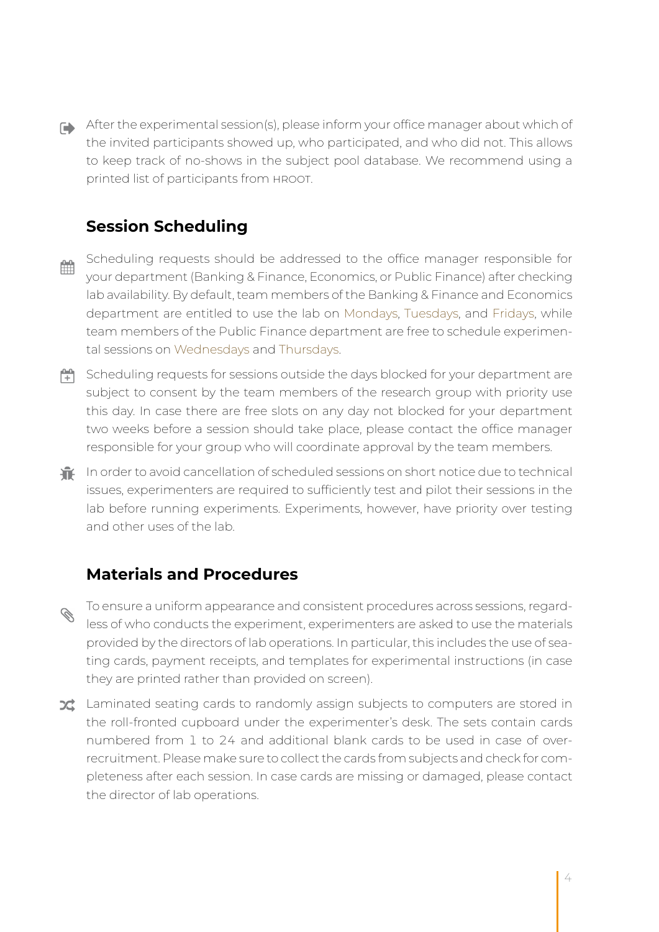After the experimental session(s), please inform your office manager about which of the invited participants showed up, who participated, and who did not. This allows to keep track of no-shows in the subject pool database. We recommend using a printed list of participants from hroot.

# **Session Scheduling**

- Scheduling requests should be addressed to the office manager responsible for 齡 your department (Banking & Finance, Economics, or Public Finance) after checking lab availability. By default, team members of the Banking & Finance and Economics department are entitled to use the lab on Mondays, Tuesdays, and Fridays, while team members of the Public Finance department are free to schedule experimental sessions on Wednesdays and Thursdays.
- $\Box$  Scheduling requests for sessions outside the days blocked for your department are subject to consent by the team members of the research group with priority use this day. In case there are free slots on any day not blocked for your department two weeks before a session should take place, please contact the office manager responsible for your group who will coordinate approval by the team members.
- **In** In order to avoid cancellation of scheduled sessions on short notice due to technical issues, experimenters are required to sufficiently test and pilot their sessions in the lab before running experiments. Experiments, however, have priority over testing and other uses of the lab.

## **Materials and Procedures**

- To ensure a uniform appearance and consistent procedures across sessions, regard- $\mathscr{C}$ less of who conducts the experiment, experimenters are asked to use the materials provided by the directors of lab operations. In particular, this includes the use of seating cards, payment receipts, and templates for experimental instructions (in case they are printed rather than provided on screen).
- **Z** Laminated seating cards to randomly assign subjects to computers are stored in the roll-fronted cupboard under the experimenter's desk. The sets contain cards numbered from 1 to 24 and additional blank cards to be used in case of overrecruitment. Please make sure to collect the cards from subjects and check for completeness after each session. In case cards are missing or damaged, please contact the director of lab operations.